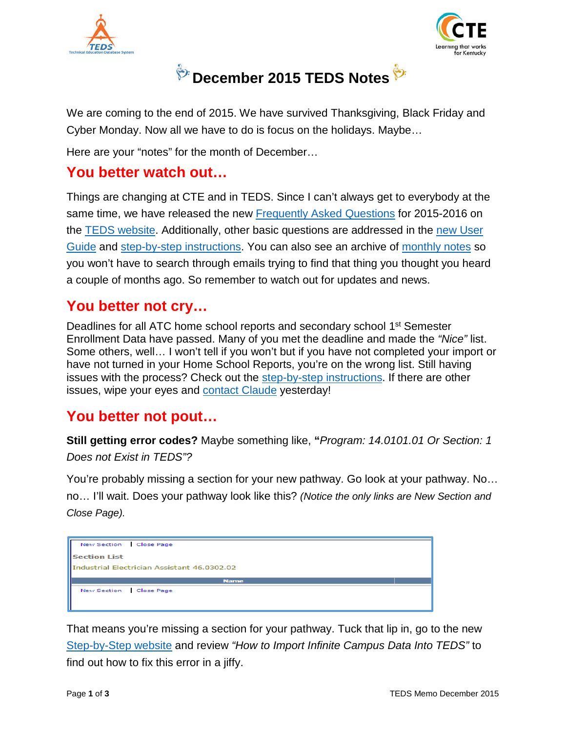



# **December 2015 TEDS Notes**

We are coming to the end of 2015. We have survived Thanksgiving, Black Friday and Cyber Monday. Now all we have to do is focus on the holidays. Maybe…

Here are your "notes" for the month of December…

#### **You better watch out…**

Things are changing at CTE and in TEDS. Since I can't always get to everybody at the same time, we have released the new [Frequently Asked Questions](http://education.ky.gov/CTE/teds/Documents/TEDS_FAQ.pdf) for 2015-2016 on the [TEDS website.](http://education.ky.gov/CTE/teds/Pages/default.aspx) Additionally, other basic questions are addressed in the [new User](http://education.ky.gov/CTE/teds/Documents/TEDS_User_Guide.pdf)  [Guide](http://education.ky.gov/CTE/teds/Documents/TEDS_User_Guide.pdf) and [step-by-step instructions.](http://education.ky.gov/CTE/teds/Pages/TEDSStepbyStep.aspx) You can also see an archive of [monthly notes](http://education.ky.gov/CTE/teds/Pages/TEDSMM.aspx) so you won't have to search through emails trying to find that thing you thought you heard a couple of months ago. So remember to watch out for updates and news.

#### **You better not cry…**

Deadlines for all ATC home school reports and secondary school 1<sup>st</sup> Semester Enrollment Data have passed. Many of you met the deadline and made the *"Nice"* list. Some others, well… I won't tell if you won't but if you have not completed your import or have not turned in your Home School Reports, you're on the wrong list. Still having issues with the process? Check out the [step-by-step instructions.](http://education.ky.gov/CTE/teds/Pages/TEDSStepbyStep.aspx) If there are other issues, wipe your eyes and [contact Claude](mailto:claude.christian@education.ky.gov) yesterday!

#### **You better not pout…**

**Still getting error codes?** Maybe something like, **"***Program: 14.0101.01 Or Section: 1 Does not Exist in TEDS"?*

You're probably missing a section for your new pathway. Go look at your pathway. No… no… I'll wait. Does your pathway look like this? *(Notice the only links are New Section and Close Page).*



That means you're missing a section for your pathway. Tuck that lip in, go to the new [Step-by-Step](http://education.ky.gov/CTE/teds/Pages/TEDSStepbyStep.aspx) website and review *"How to Import Infinite Campus Data Into TEDS"* to find out how to fix this error in a jiffy.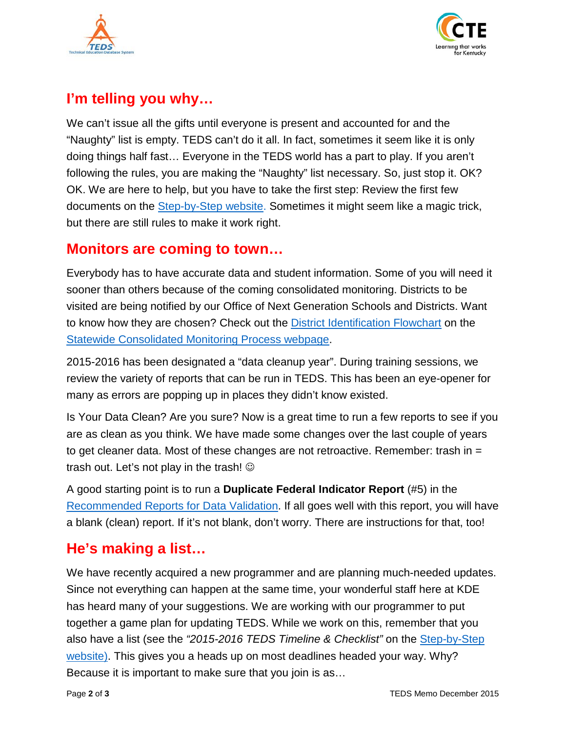



# **I'm telling you why…**

We can't issue all the gifts until everyone is present and accounted for and the "Naughty" list is empty. TEDS can't do it all. In fact, sometimes it seem like it is only doing things half fast… Everyone in the TEDS world has a part to play. If you aren't following the rules, you are making the "Naughty" list necessary. So, just stop it. OK? OK. We are here to help, but you have to take the first step: Review the first few documents on the **Step-by-Step website**. Sometimes it might seem like a magic trick, but there are still rules to make it work right.

#### **Monitors are coming to town…**

Everybody has to have accurate data and student information. Some of you will need it sooner than others because of the coming consolidated monitoring. Districts to be visited are being notified by our Office of Next Generation Schools and Districts. Want to know how they are chosen? Check out the **District Identification Flowchart** on the [Statewide Consolidated Monitoring Process webpage.](https://education-edit.ky.gov/federal/progs/scmi/Pages/default.aspx)

2015-2016 has been designated a "data cleanup year". During training sessions, we review the variety of reports that can be run in TEDS. This has been an eye-opener for many as errors are popping up in places they didn't know existed.

Is Your Data Clean? Are you sure? Now is a great time to run a few reports to see if you are as clean as you think. We have made some changes over the last couple of years to get cleaner data. Most of these changes are not retroactive. Remember: trash in = trash out. Let's not play in the trash!  $\odot$ 

A good starting point is to run a **Duplicate Federal Indicator Report** (#5) in the [Recommended Reports for Data Validation.](http://bit.ly/TEDS_Reports) If all goes well with this report, you will have a blank (clean) report. If it's not blank, don't worry. There are instructions for that, too!

## **He's making a list…**

We have recently acquired a new programmer and are planning much-needed updates. Since not everything can happen at the same time, your wonderful staff here at KDE has heard many of your suggestions. We are working with our programmer to put together a game plan for updating TEDS. While we work on this, remember that you also have a list (see the *"2015-2016 TEDS Timeline & Checklist"* on the [Step-by-Step](http://education.ky.gov/CTE/teds/Pages/TEDSStepbyStep.aspx)  [website\)](http://education.ky.gov/CTE/teds/Pages/TEDSStepbyStep.aspx). This gives you a heads up on most deadlines headed your way. Why? Because it is important to make sure that you join is as…